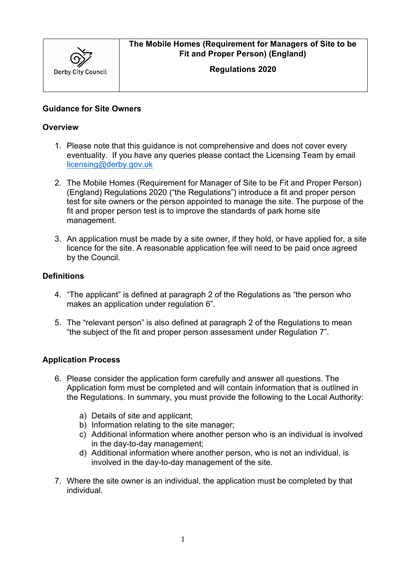

# **The Mobile Homes (Requirement for Managers of Site to be Fit and Proper Person) (England)**

**Regulations 2020** 

## **Guidance for Site Owners**

### **Overview**

- 1. Please note that this guidance is not comprehensive and does not cover every eventuality. If you have any queries please contact the Licensing Team by email [licensing@derby.gov.uk](mailto:licensing@derby.gov.uk)
- 2. The Mobile Homes (Requirement for Manager of Site to be Fit and Proper Person) (England) Regulations 2020 ("the Regulations") introduce a fit and proper person test for site owners or the person appointed to manage the site. The purpose of the fit and proper person test is to improve the standards of park home site management.
- 3. An application must be made by a site owner, if they hold, or have applied for, a site licence for the site. A reasonable application fee will need to be paid once agreed by the Council.

### **Definitions**

- 4. "The applicant" is defined at paragraph 2 of the Regulations as "the person who makes an application under regulation 6".
- 5. The "relevant person" is also defined at paragraph 2 of the Regulations to mean "the subject of the fit and proper person assessment under Regulation 7".

### **Application Process**

- 6. Please consider the application form carefully and answer all questions. The Application form must be completed and will contain information that is outlined in the Regulations. In summary, you must provide the following to the Local Authority:
	- a) Details of site and applicant;
	- b) Information relating to the site manager;
	- c) Additional information where another person who is an individual is involved in the day-to-day management;
	- d) Additional information where another person, who is not an individual, is involved in the day-to-day management of the site.
- 7. Where the site owner is an individual, the application must be completed by that individual.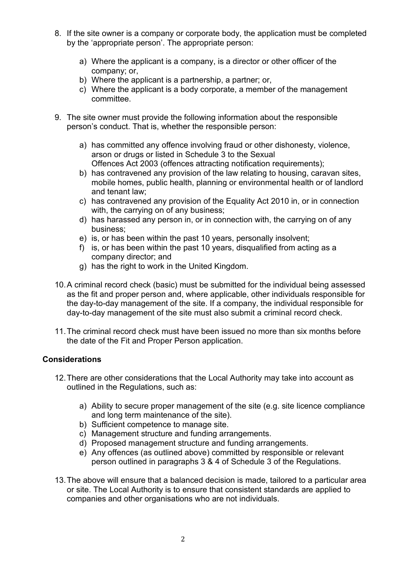- 8. If the site owner is a company or corporate body, the application must be completed by the 'appropriate person'. The appropriate person:
	- a) Where the applicant is a company, is a director or other officer of the company; or,
	- b) Where the applicant is a partnership, a partner; or,
	- c) Where the applicant is a body corporate, a member of the management committee.
- 9. The site owner must provide the following information about the responsible person's conduct. That is, whether the responsible person:
	- a) has committed any offence involving fraud or other dishonesty, violence, arson or drugs or listed in Schedule 3 to the Sexual Offences Act 2003 (offences attracting notification requirements);
	- b) has contravened any provision of the law relating to housing, caravan sites, mobile homes, public health, planning or environmental health or of landlord and tenant law;
	- c) has contravened any provision of the Equality Act 2010 in, or in connection with, the carrying on of any business;
	- d) has harassed any person in, or in connection with, the carrying on of any business;
	- e) is, or has been within the past 10 years, personally insolvent;
	- f) is, or has been within the past 10 years, disqualified from acting as a company director; and
	- g) has the right to work in the United Kingdom.
- 10.A criminal record check (basic) must be submitted for the individual being assessed as the fit and proper person and, where applicable, other individuals responsible for the day-to-day management of the site. If a company, the individual responsible for day-to-day management of the site must also submit a criminal record check.
- 11.The criminal record check must have been issued no more than six months before the date of the Fit and Proper Person application.

## **Considerations**

- 12.There are other considerations that the Local Authority may take into account as outlined in the Regulations, such as:
	- a) Ability to secure proper management of the site (e.g. site licence compliance and long term maintenance of the site).
	- b) Sufficient competence to manage site.
	- c) Management structure and funding arrangements.
	- d) Proposed management structure and funding arrangements.
	- e) Any offences (as outlined above) committed by responsible or relevant person outlined in paragraphs 3 & 4 of Schedule 3 of the Regulations.
- 13.The above will ensure that a balanced decision is made, tailored to a particular area or site. The Local Authority is to ensure that consistent standards are applied to companies and other organisations who are not individuals.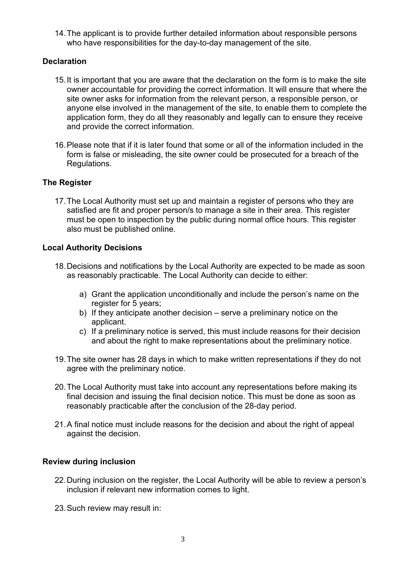14.The applicant is to provide further detailed information about responsible persons who have responsibilities for the day-to-day management of the site.

## **Declaration**

- 15.It is important that you are aware that the declaration on the form is to make the site owner accountable for providing the correct information. It will ensure that where the site owner asks for information from the relevant person, a responsible person, or anyone else involved in the management of the site, to enable them to complete the application form, they do all they reasonably and legally can to ensure they receive and provide the correct information.
- 16.Please note that if it is later found that some or all of the information included in the form is false or misleading, the site owner could be prosecuted for a breach of the Regulations.

### **The Register**

17.The Local Authority must set up and maintain a register of persons who they are satisfied are fit and proper person/s to manage a site in their area. This register must be open to inspection by the public during normal office hours. This register also must be published online.

### **Local Authority Decisions**

- 18.Decisions and notifications by the Local Authority are expected to be made as soon as reasonably practicable. The Local Authority can decide to either:
	- a) Grant the application unconditionally and include the person's name on the register for 5 years;
	- b) If they anticipate another decision serve a preliminary notice on the applicant.
	- c) If a preliminary notice is served, this must include reasons for their decision and about the right to make representations about the preliminary notice.
- 19.The site owner has 28 days in which to make written representations if they do not agree with the preliminary notice.
- 20.The Local Authority must take into account any representations before making its final decision and issuing the final decision notice. This must be done as soon as reasonably practicable after the conclusion of the 28-day period.
- 21.A final notice must include reasons for the decision and about the right of appeal against the decision.

### **Review during inclusion**

- 22.During inclusion on the register, the Local Authority will be able to review a person's inclusion if relevant new information comes to light.
- 23.Such review may result in: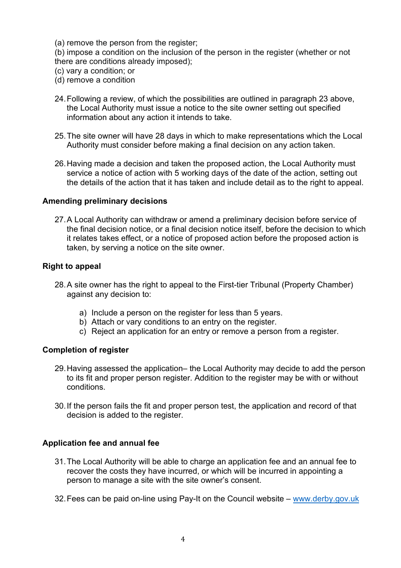(a) remove the person from the register;

(b) impose a condition on the inclusion of the person in the register (whether or not there are conditions already imposed);

- (c) vary a condition; or
- (d) remove a condition
- 24.Following a review, of which the possibilities are outlined in paragraph 23 above, the Local Authority must issue a notice to the site owner setting out specified information about any action it intends to take.
- 25.The site owner will have 28 days in which to make representations which the Local Authority must consider before making a final decision on any action taken.
- 26.Having made a decision and taken the proposed action, the Local Authority must service a notice of action with 5 working days of the date of the action, setting out the details of the action that it has taken and include detail as to the right to appeal.

#### **Amending preliminary decisions**

27.A Local Authority can withdraw or amend a preliminary decision before service of the final decision notice, or a final decision notice itself, before the decision to which it relates takes effect, or a notice of proposed action before the proposed action is taken, by serving a notice on the site owner.

#### **Right to appeal**

- 28.A site owner has the right to appeal to the First-tier Tribunal (Property Chamber) against any decision to:
	- a) Include a person on the register for less than 5 years.
	- b) Attach or vary conditions to an entry on the register.
	- c) Reject an application for an entry or remove a person from a register.

#### **Completion of register**

- 29.Having assessed the application– the Local Authority may decide to add the person to its fit and proper person register. Addition to the register may be with or without conditions.
- 30.If the person fails the fit and proper person test, the application and record of that decision is added to the register.

#### **Application fee and annual fee**

- 31.The Local Authority will be able to charge an application fee and an annual fee to recover the costs they have incurred, or which will be incurred in appointing a person to manage a site with the site owner's consent.
- 32.Fees can be paid on-line using Pay-It on the Council website – [www.derby.gov.uk](http://www.derby.gov.uk/)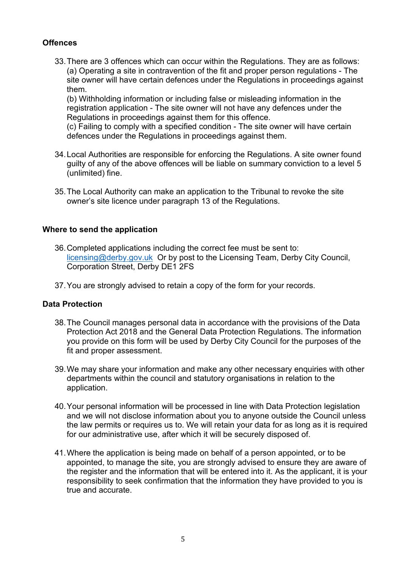## **Offences**

33.There are 3 offences which can occur within the Regulations. They are as follows: (a) Operating a site in contravention of the fit and proper person regulations - The site owner will have certain defences under the Regulations in proceedings against them.

(b) Withholding information or including false or misleading information in the registration application - The site owner will not have any defences under the Regulations in proceedings against them for this offence.

(c) Failing to comply with a specified condition - The site owner will have certain defences under the Regulations in proceedings against them.

- 34.Local Authorities are responsible for enforcing the Regulations. A site owner found guilty of any of the above offences will be liable on summary conviction to a level 5 (unlimited) fine.
- 35. The Local Authority can make an application to the Tribunal to revoke the site owner's site licence under paragraph 13 of the Regulations.

### **Where to send the application**

- 36.Completed applications including the correct fee must be sent to: [licensing@derby.gov.uk](mailto:licensing@derby.gov.uk) Or by post to the Licensing Team, Derby City Council, Corporation Street, Derby DE1 2FS
- 37.You are strongly advised to retain a copy of the form for your records.

### **Data Protection**

- 38.The Council manages personal data in accordance with the provisions of the Data Protection Act 2018 and the General Data Protection Regulations. The information you provide on this form will be used by Derby City Council for the purposes of the fit and proper assessment.
- 39.We may share your information and make any other necessary enquiries with other departments within the council and statutory organisations in relation to the application.
- 40.Your personal information will be processed in line with Data Protection legislation and we will not disclose information about you to anyone outside the Council unless the law permits or requires us to. We will retain your data for as long as it is required for our administrative use, after which it will be securely disposed of.
- 41.Where the application is being made on behalf of a person appointed, or to be appointed, to manage the site, you are strongly advised to ensure they are aware of the register and the information that will be entered into it. As the applicant, it is your responsibility to seek confirmation that the information they have provided to you is true and accurate.